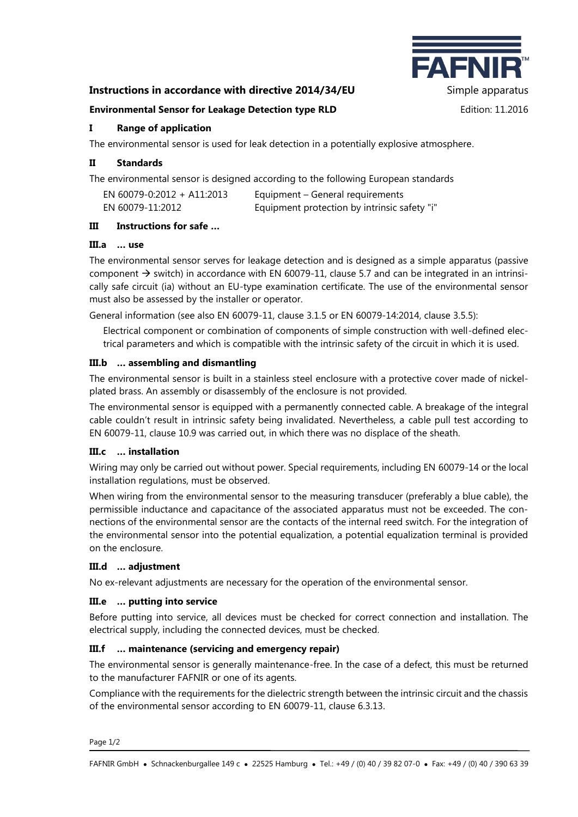# **Instructions in accordance with directive 2014/34/EU** Simple apparatus



#### **Environmental Sensor for Leakage Detection type RLD** Edition: 11.2016

## **I Range of application**

The environmental sensor is used for leak detection in a potentially explosive atmosphere.

## **II Standards**

The environmental sensor is designed according to the following European standards

| EN 60079-0:2012 + A11:2013 | Equipment – General requirements             |
|----------------------------|----------------------------------------------|
| EN 60079-11:2012           | Equipment protection by intrinsic safety "i" |

#### **III Instructions for safe …**

#### **III.a … use**

The environmental sensor serves for leakage detection and is designed as a simple apparatus (passive component  $\rightarrow$  switch) in accordance with EN 60079-11, clause 5.7 and can be integrated in an intrinsically safe circuit (ia) without an EU-type examination certificate. The use of the environmental sensor must also be assessed by the installer or operator.

General information (see also EN 60079-11, clause 3.1.5 or EN 60079-14:2014, clause 3.5.5):

Electrical component or combination of components of simple construction with well-defined electrical parameters and which is compatible with the intrinsic safety of the circuit in which it is used.

## **III.b … assembling and dismantling**

The environmental sensor is built in a stainless steel enclosure with a protective cover made of nickelplated brass. An assembly or disassembly of the enclosure is not provided.

The environmental sensor is equipped with a permanently connected cable. A breakage of the integral cable couldn't result in intrinsic safety being invalidated. Nevertheless, a cable pull test according to EN 60079-11, clause 10.9 was carried out, in which there was no displace of the sheath.

## **III.c … installation**

Wiring may only be carried out without power. Special requirements, including EN 60079-14 or the local installation regulations, must be observed.

When wiring from the environmental sensor to the measuring transducer (preferably a blue cable), the permissible inductance and capacitance of the associated apparatus must not be exceeded. The connections of the environmental sensor are the contacts of the internal reed switch. For the integration of the environmental sensor into the potential equalization, a potential equalization terminal is provided on the enclosure.

## **III.d … adjustment**

No ex-relevant adjustments are necessary for the operation of the environmental sensor.

## **III.e … putting into service**

Before putting into service, all devices must be checked for correct connection and installation. The electrical supply, including the connected devices, must be checked.

## **III.f … maintenance (servicing and emergency repair)**

The environmental sensor is generally maintenance-free. In the case of a defect, this must be returned to the manufacturer FAFNIR or one of its agents.

Compliance with the requirements for the dielectric strength between the intrinsic circuit and the chassis of the environmental sensor according to EN 60079-11, clause 6.3.13.

Page 1/2